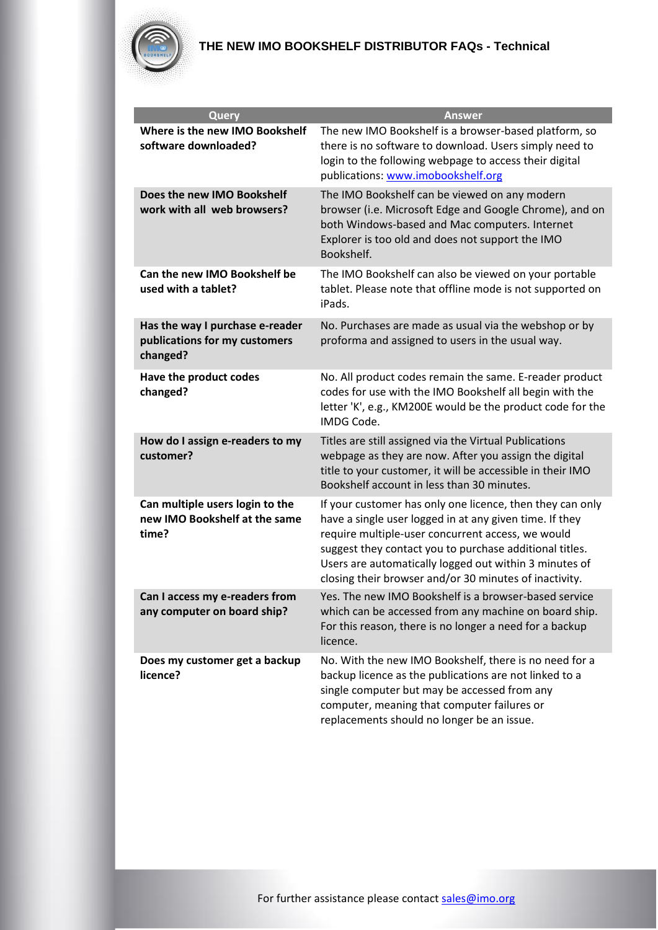

| Query                                                                        | <b>Answer</b>                                                                                                                                                                                                                                                                                                                                            |
|------------------------------------------------------------------------------|----------------------------------------------------------------------------------------------------------------------------------------------------------------------------------------------------------------------------------------------------------------------------------------------------------------------------------------------------------|
| Where is the new IMO Bookshelf<br>software downloaded?                       | The new IMO Bookshelf is a browser-based platform, so<br>there is no software to download. Users simply need to<br>login to the following webpage to access their digital<br>publications: www.imobookshelf.org                                                                                                                                          |
| Does the new IMO Bookshelf<br>work with all web browsers?                    | The IMO Bookshelf can be viewed on any modern<br>browser (i.e. Microsoft Edge and Google Chrome), and on<br>both Windows-based and Mac computers. Internet<br>Explorer is too old and does not support the IMO<br>Bookshelf.                                                                                                                             |
| Can the new IMO Bookshelf be<br>used with a tablet?                          | The IMO Bookshelf can also be viewed on your portable<br>tablet. Please note that offline mode is not supported on<br>iPads.                                                                                                                                                                                                                             |
| Has the way I purchase e-reader<br>publications for my customers<br>changed? | No. Purchases are made as usual via the webshop or by<br>proforma and assigned to users in the usual way.                                                                                                                                                                                                                                                |
| Have the product codes<br>changed?                                           | No. All product codes remain the same. E-reader product<br>codes for use with the IMO Bookshelf all begin with the<br>letter 'K', e.g., KM200E would be the product code for the<br>IMDG Code.                                                                                                                                                           |
| How do I assign e-readers to my<br>customer?                                 | Titles are still assigned via the Virtual Publications<br>webpage as they are now. After you assign the digital<br>title to your customer, it will be accessible in their IMO<br>Bookshelf account in less than 30 minutes.                                                                                                                              |
| Can multiple users login to the<br>new IMO Bookshelf at the same<br>time?    | If your customer has only one licence, then they can only<br>have a single user logged in at any given time. If they<br>require multiple-user concurrent access, we would<br>suggest they contact you to purchase additional titles.<br>Users are automatically logged out within 3 minutes of<br>closing their browser and/or 30 minutes of inactivity. |
| Can I access my e-readers from<br>any computer on board ship?                | Yes. The new IMO Bookshelf is a browser-based service<br>which can be accessed from any machine on board ship.<br>For this reason, there is no longer a need for a backup<br>licence.                                                                                                                                                                    |
| Does my customer get a backup<br>licence?                                    | No. With the new IMO Bookshelf, there is no need for a<br>backup licence as the publications are not linked to a<br>single computer but may be accessed from any<br>computer, meaning that computer failures or<br>replacements should no longer be an issue.                                                                                            |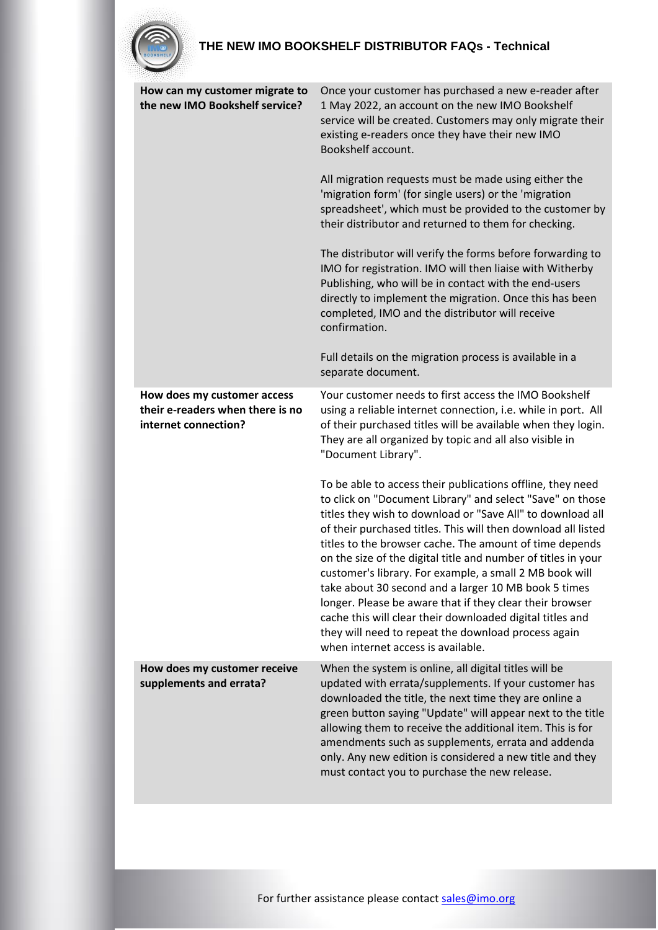| How can my customer migrate to                                                          | Once your customer has purchased a new e-reader after                                                                                                                                                                                                                                                                                                                                                                                                                                                                                                                                                                                                                                                                       |
|-----------------------------------------------------------------------------------------|-----------------------------------------------------------------------------------------------------------------------------------------------------------------------------------------------------------------------------------------------------------------------------------------------------------------------------------------------------------------------------------------------------------------------------------------------------------------------------------------------------------------------------------------------------------------------------------------------------------------------------------------------------------------------------------------------------------------------------|
| the new IMO Bookshelf service?                                                          | 1 May 2022, an account on the new IMO Bookshelf<br>service will be created. Customers may only migrate their<br>existing e-readers once they have their new IMO<br>Bookshelf account.                                                                                                                                                                                                                                                                                                                                                                                                                                                                                                                                       |
|                                                                                         | All migration requests must be made using either the<br>'migration form' (for single users) or the 'migration<br>spreadsheet', which must be provided to the customer by<br>their distributor and returned to them for checking.                                                                                                                                                                                                                                                                                                                                                                                                                                                                                            |
|                                                                                         | The distributor will verify the forms before forwarding to<br>IMO for registration. IMO will then liaise with Witherby<br>Publishing, who will be in contact with the end-users<br>directly to implement the migration. Once this has been<br>completed, IMO and the distributor will receive<br>confirmation.                                                                                                                                                                                                                                                                                                                                                                                                              |
|                                                                                         | Full details on the migration process is available in a<br>separate document.                                                                                                                                                                                                                                                                                                                                                                                                                                                                                                                                                                                                                                               |
| How does my customer access<br>their e-readers when there is no<br>internet connection? | Your customer needs to first access the IMO Bookshelf<br>using a reliable internet connection, i.e. while in port. All<br>of their purchased titles will be available when they login.<br>They are all organized by topic and all also visible in<br>"Document Library".                                                                                                                                                                                                                                                                                                                                                                                                                                                    |
|                                                                                         | To be able to access their publications offline, they need<br>to click on "Document Library" and select "Save" on those<br>titles they wish to download or "Save All" to download all<br>of their purchased titles. This will then download all listed<br>titles to the browser cache. The amount of time depends<br>on the size of the digital title and number of titles in your<br>customer's library. For example, a small 2 MB book will<br>take about 30 second and a larger 10 MB book 5 times<br>longer. Please be aware that if they clear their browser<br>cache this will clear their downloaded digital titles and<br>they will need to repeat the download process again<br>when internet access is available. |
| How does my customer receive<br>supplements and errata?                                 | When the system is online, all digital titles will be<br>updated with errata/supplements. If your customer has<br>downloaded the title, the next time they are online a<br>green button saying "Update" will appear next to the title<br>allowing them to receive the additional item. This is for<br>amendments such as supplements, errata and addenda<br>only. Any new edition is considered a new title and they<br>must contact you to purchase the new release.                                                                                                                                                                                                                                                       |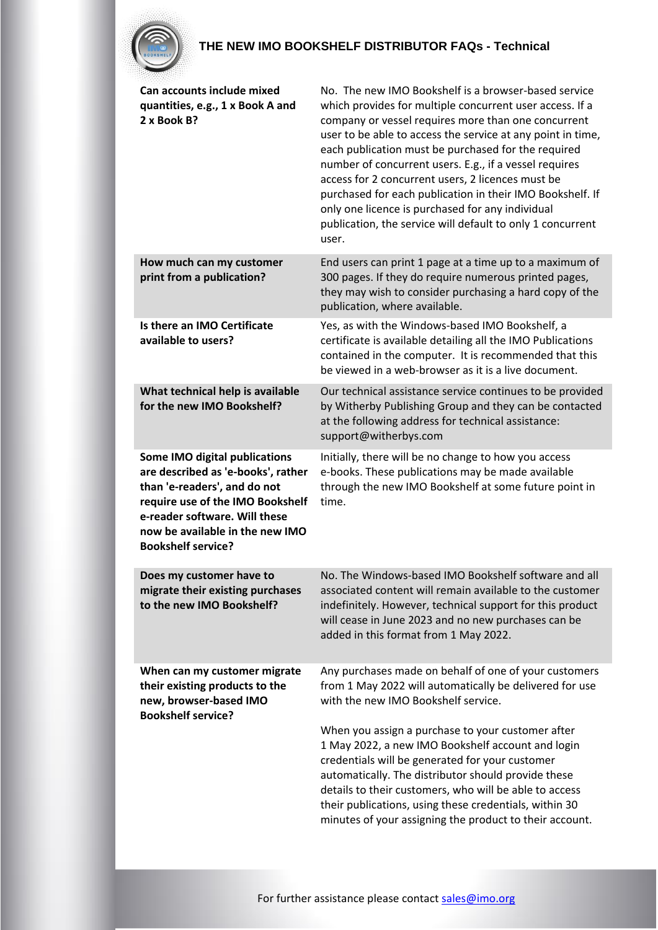

| Can accounts include mixed<br>quantities, e.g., 1 x Book A and<br>2 x Book B?                                                                                                                                                            | No. The new IMO Bookshelf is a browser-based service<br>which provides for multiple concurrent user access. If a<br>company or vessel requires more than one concurrent<br>user to be able to access the service at any point in time,<br>each publication must be purchased for the required<br>number of concurrent users. E.g., if a vessel requires<br>access for 2 concurrent users, 2 licences must be<br>purchased for each publication in their IMO Bookshelf. If<br>only one licence is purchased for any individual<br>publication, the service will default to only 1 concurrent<br>user. |
|------------------------------------------------------------------------------------------------------------------------------------------------------------------------------------------------------------------------------------------|------------------------------------------------------------------------------------------------------------------------------------------------------------------------------------------------------------------------------------------------------------------------------------------------------------------------------------------------------------------------------------------------------------------------------------------------------------------------------------------------------------------------------------------------------------------------------------------------------|
| How much can my customer<br>print from a publication?                                                                                                                                                                                    | End users can print 1 page at a time up to a maximum of<br>300 pages. If they do require numerous printed pages,<br>they may wish to consider purchasing a hard copy of the<br>publication, where available.                                                                                                                                                                                                                                                                                                                                                                                         |
| Is there an IMO Certificate<br>available to users?                                                                                                                                                                                       | Yes, as with the Windows-based IMO Bookshelf, a<br>certificate is available detailing all the IMO Publications<br>contained in the computer. It is recommended that this<br>be viewed in a web-browser as it is a live document.                                                                                                                                                                                                                                                                                                                                                                     |
| What technical help is available<br>for the new IMO Bookshelf?                                                                                                                                                                           | Our technical assistance service continues to be provided<br>by Witherby Publishing Group and they can be contacted<br>at the following address for technical assistance:<br>support@witherbys.com                                                                                                                                                                                                                                                                                                                                                                                                   |
| Some IMO digital publications<br>are described as 'e-books', rather<br>than 'e-readers', and do not<br>require use of the IMO Bookshelf<br>e-reader software. Will these<br>now be available in the new IMO<br><b>Bookshelf service?</b> | Initially, there will be no change to how you access<br>e-books. These publications may be made available<br>through the new IMO Bookshelf at some future point in<br>time.                                                                                                                                                                                                                                                                                                                                                                                                                          |
| Does my customer have to<br>migrate their existing purchases<br>to the new IMO Bookshelf?                                                                                                                                                | No. The Windows-based IMO Bookshelf software and all<br>associated content will remain available to the customer<br>indefinitely. However, technical support for this product<br>will cease in June 2023 and no new purchases can be<br>added in this format from 1 May 2022.                                                                                                                                                                                                                                                                                                                        |
| When can my customer migrate<br>their existing products to the<br>new, browser-based IMO<br><b>Bookshelf service?</b>                                                                                                                    | Any purchases made on behalf of one of your customers<br>from 1 May 2022 will automatically be delivered for use<br>with the new IMO Bookshelf service.<br>When you assign a purchase to your customer after<br>1 May 2022, a new IMO Bookshelf account and login<br>credentials will be generated for your customer<br>automatically. The distributor should provide these<br>details to their customers, who will be able to access<br>their publications, using these credentials, within 30<br>minutes of your assigning the product to their account.                                           |